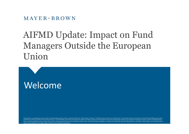# AIFMD Update: Impact on Fund Managers Outside the European Union

# Welcome

Mayer Brown is a global legal services provider comprising legal practices that are separate entities (the "Mayer Brown Practices"). The Mayer Brown Practices are: Mayer Brown LLP and Mayer Brown Europe-Brussels LLP both l established in Illinois USA; Mayer Brown International LLP, a limited liability partnership incorporated in England and Wales (authorized and regulated by the Solicitors Regulation Authority and registered in England and W Brown, a SELAS established in France; Mayer Brown JSM, a Hong Kong partnership and its associated entities in Asia; and Tauil & Chequer Advogados, a Brazilian law partnership with which Mayer Brown is associated. "Mayer Br logo are the trademarks of the Mayer Brown Practices in their respective jurisdictions.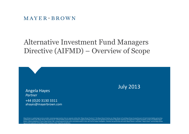## Alternative Investment Fund Managers Directive (AIFMD) – Overview of Scope



Angela Hayes *Partner* +44 (0)20 3130 3311 ahayes@mayerbrown.com

Mayer Brown is a global legal services provider comprising legal practices that are separate entities (the "Mayer Brown Practices"). The Mayer Brown Practices are: Mayer Brown LLP and Mayer Brown Europe-Brussels LLP both l established in Illinois USA; Mayer Brown International LLP, a limited liability partnership incorporated in England and Wales (authorized and regulated by the Solicitors Regulation Authority and registered in England and W Brown, a SELAS established in France; Mayer Brown JSM, a Hong Kong partnership and its associated entities in Asia; and Tauil & Chequer Advogados, a Brazilian law partnership with which Mayer Brown is associated. "Mayer Br logo are the trademarks of the Mayer Brown Practices in their respective jurisdictions.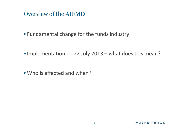Overview of the AIFMD

• Fundamental change for the funds industry

• Implementation on 22 July 2013 – what does this mean?

• Who is affected and when?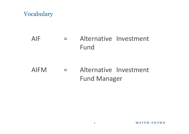### Vocabulary

## AIF = Alternative Investment Fund

## AIFM = Alternative Investment Fund Manager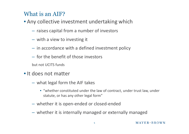### What is an AIF?

- Any collective investment undertaking which
	- raises capital from a number of investors
	- with a view to investing it
	- in accordance with a defined investment policy
	- for the benefit of those investors

but not UCITS funds

- It does not matter
	- what legal form the AIF takes
		- "whether constituted under the law of contract, under trust law, under statute, or has any other legal form"
	- whether it is open-ended or closed-ended
	- whether it is internally managed or externally managed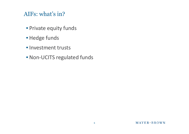### AIFs: what's in?

- Private equity funds
- Hedge funds
- Investment trusts
- Non-UCITS regulated funds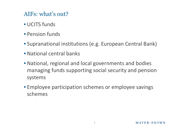## AIFs: what's out?

- UCITS funds
- Pension funds
- Supranational institutions (e.g. European Central Bank)
- National central banks
- National, regional and local governments and bodies managing funds supporting social security and pension systems
- Employee participation schemes or employee savings schemes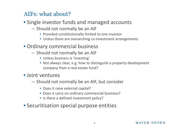### AIFs: what about?

### • Single investor funds and managed accounts

- Should not normally be an AIF
	- Provided constitutionally limited to one investor
	- Unless there are overarching co-investment arrangements
- Ordinary commercial business
	- Should not normally be an AIF
		- Unless business is 'investing'
		- Not always clear, e.g. how to distinguish a property development company from a real estate fund?

### • Joint ventures

- Should not normally be an AIF, but consider
	- Does it raise external capital?
	- Does it carry on ordinary commercial business?
	- Is there a defined investment policy?
- Securitisation special purpose entities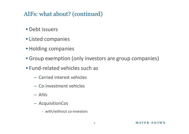### AIFs: what about? (continued)

- Debt issuers
- Listed companies
- Holding companies
- Group exemption (only investors are group companies)
- Fund-related vehicles such as
	- Carried interest vehicles
	- Co-investment vehicles
	- AIVs
	- AcquisitionCos
		- with/without co-investors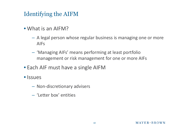### Identifying the AIFM

- What is an AIFM?
	- A legal person whose regular business is managing one or more AIFs
	- 'Managing AIFs' means performing at least portfolio management or risk management for one or more AIFs
- Each AIF must have a single AIFM
- *Issues* 
	- Non-discretionary advisers
	- 'Letter box' entities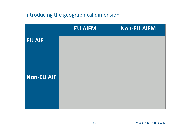### Introducing the geographical dimension

|                   | <b>EU AIFM</b> | <b>Non-EU AIFM</b> |
|-------------------|----------------|--------------------|
| <b>EU AIF</b>     |                |                    |
|                   |                |                    |
|                   |                |                    |
| <b>Non-EU AIF</b> |                |                    |
|                   |                |                    |
|                   |                |                    |
|                   |                |                    |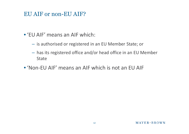### EU AIF or non-EU AIF?

- 'EU AIF' means an AIF which:
	- is authorised or registered in an EU Member State; or
	- has its registered office and/or head office in an EU Member State
- 'Non-EU AIF' means an AIF which is not an EU AIF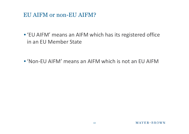### EU AIFM or non-EU AIFM?

• 'EU AIFM' means an AIFM which has its registered office in an EU Member State

• 'Non-EU AIFM' means an AIFM which is not an EU AIFM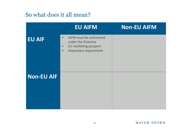|                   | <b>EU AIFM</b>                                                                                                                           | <b>Non-EU AIFM</b> |
|-------------------|------------------------------------------------------------------------------------------------------------------------------------------|--------------------|
| <b>EU AIF</b>     | AIFM must be authorised<br>$\bullet$<br>under the Directive<br>EU marketing passport<br>$\bullet$<br>Depositary requirement<br>$\bullet$ |                    |
| <b>Non-EU AIF</b> |                                                                                                                                          |                    |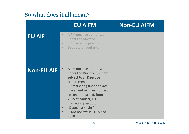|                   | <b>EU AIFM</b>                                                                                                                                                                                                                                                                                              | <b>Non-EU AIFM</b> |
|-------------------|-------------------------------------------------------------------------------------------------------------------------------------------------------------------------------------------------------------------------------------------------------------------------------------------------------------|--------------------|
| <b>EU AIF</b>     | AIFM must be authorised<br>$\bullet$<br>under the Directive<br>EU marketing passport<br>$\bullet$<br>Depositary requirement<br>$\bullet$                                                                                                                                                                    |                    |
| <b>Non-EU AIF</b> | AIFM must be authorised<br>under the Directive (but not<br>subject to all Directive<br>requirements)<br>EU marketing under private<br>placement regimes (subject<br>to conditions) and, from<br>2015 at earliest, EU<br>marketing passport<br>"Depositary light"<br><b>ESMA reviews in 2015 and</b><br>2018 |                    |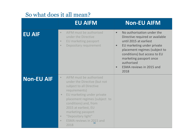|                   | <b>EU AIFM</b>                                                                                                                                                                                                                                                                                                                                                        | <b>Non-EU AIFM</b>                                                                                                                                                                                                                                                                                                |
|-------------------|-----------------------------------------------------------------------------------------------------------------------------------------------------------------------------------------------------------------------------------------------------------------------------------------------------------------------------------------------------------------------|-------------------------------------------------------------------------------------------------------------------------------------------------------------------------------------------------------------------------------------------------------------------------------------------------------------------|
| <b>EU AIF</b>     | AIFM must be authorised<br>$\bullet$<br>under the Directive<br>EU marketing passport<br>$\bullet$<br>Depositary requirement<br>$\bullet$                                                                                                                                                                                                                              | No authorisation under the<br>$\bullet$<br>Directive required or available<br>until 2015 at earliest<br>EU marketing under private<br>$\bullet$<br>placement regimes (subject to<br>conditions) but access to EU<br>marketing passport once<br>authorised<br><b>ESMA reviews in 2015 and</b><br>$\bullet$<br>2018 |
| <b>Non-EU AIF</b> | AIFM must be authorised<br>$\bullet$<br>under the Directive (but not<br>subject to all Directive<br>requirements)<br>EU marketing under private<br>$\bullet$<br>placement regimes (subject to<br>conditions) and, from<br>2015 at earliest, EU<br>marketing passport<br>"Depositary light"<br>$\bullet$<br><b>ESMA reviews in 2015 and</b><br>$\bullet$<br>16<br>2018 |                                                                                                                                                                                                                                                                                                                   |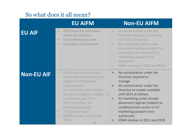|                   | <b>EU AIFM</b>                                                                                                                                                                                                                                                                                                                                                 | <b>Non-EU AIFM</b>                                                                                                                                                                                                                                                                                                                                                     |
|-------------------|----------------------------------------------------------------------------------------------------------------------------------------------------------------------------------------------------------------------------------------------------------------------------------------------------------------------------------------------------------------|------------------------------------------------------------------------------------------------------------------------------------------------------------------------------------------------------------------------------------------------------------------------------------------------------------------------------------------------------------------------|
| <b>EU AIF</b>     | AIFM must be authorised<br>$\bullet$<br>under the Directive<br>EU marketing passport<br>$\bullet$<br>Depositary requirement<br>$\bullet$                                                                                                                                                                                                                       | No authorisation under the<br>$\bullet$<br>Directive required or available<br>until 2015 at earliest<br>EU marketing under private<br>$\bullet$<br>placement regimes (subject to<br>conditions) but access to EU<br>marketing passport once<br>authorised<br>ESMA reviews in 2015 and 2018<br>$\bullet$                                                                |
| <b>Non-EU AIF</b> | AIFM must be authorised<br>$\bullet$<br>under the Directive (but not<br>subject to all Directive<br>requirements)<br>EU marketing under private<br>$\bullet$<br>placement regimes (subject to<br>conditions) and, from<br>2015 at earliest, EU<br>marketing passport<br>"Depositary light"<br>$\bullet$<br>ESMA reviews in 2015 and<br>$\bullet$<br>2018<br>17 | No authorisation under the<br>$\bullet$<br>Directive required to<br>manage<br>No authorisation under the<br>$\bullet$<br>Directive to market available<br>until 2015 at earliest<br>EU marketing under private<br>$\bullet$<br>placement regimes (subject to<br>conditions) but access to EU<br>marketing passport once<br>authorised<br>ESMA reviews in 2015 and 2018 |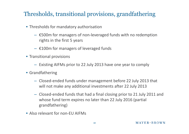## Thresholds, transitional provisions, grandfathering

- Thresholds for mandatory authorisation
	- €500m for managers of non-leveraged funds with no redemption rights in the first 5 years
	- $-$  £100m for managers of leveraged funds
- Transitional provisions
	- Existing AIFMs prior to 22 July 2013 have one year to comply
- Grandfathering
	- Closed-ended funds under management before 22 July 2013 that will not make any additional investments after 22 July 2013
	- Closed-ended funds that had a final closing prior to 21 July 2011 and whose fund term expires no later than 22 July 2016 (partial grandfathering)
- Also relevant for non-FU AIFMs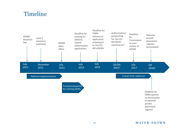### Timeline



#### $MAYER*BROWN$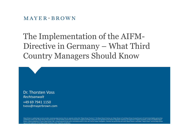### $M$  AYER  $\cdot$  BROWN

# The Implementation of the AIFM-Directive in Germany – What Third Country Managers Should Know

Dr. Thorsten Voss *Rechtsanwalt* +49 69 7941 1150 tvoss@mayerbrown.com

Mayer Brown is a global legal services provider comprising legal practices that are separate entities (the "Mayer Brown Practices"). The Mayer Brown Practices are: Mayer Brown LLP and Mayer Brown Europe-Brussels LLP both l established in Illinois USA; Mayer Brown International LLP, a limited liability partnership incorporated in England and Wales (authorized and regulated by the Solicitors Regulation Authority and registered in England and W Brown, a SELAS established in France; Mayer Brown JSM, a Hong Kong partnership and its associated entities in Asia; and Tauil & Chequer Advogados, a Brazilian law partnership with which Mayer Brown is associated. "Mayer Br logo are the trademarks of the Mayer Brown Practices in their respective jurisdictions.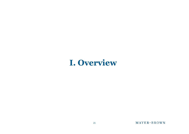## **I. Overview**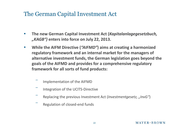### The German Capital Investment Act

- **The new German Capital Investment Act (***Kapitalanlagegesetzbuch, "KAGB")* **enters into force on July 22, 2013.**
- **While the AIFM Directive (***"AIFMD"***) aims at creating a harmonized regulatory framework and an internal market for the managers of alternative investment funds, the German legislation goes beyond the goals of the AIFMD and provides for a comprehensive regulatory framework for all sorts of fund products:**
	- ‾ Implementation of the AIFMD
	- ‾ Integration of the UCITS-Directive
	- Replacing the previous Investment Act (*Investmentgesetz, "InvG"*)
	- ‾ Regulation of closed-end funds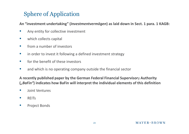## Sphere of Application

**An "investment undertaking" (***Investmentvermögen***) as laid down in Sect. 1 para. 1 KAGB:**

- Any entity for collective investment
- which collects capital
- from a number of investors
- in order to invest it following a defined investment strategy
- for the benefit of these investors
- and which is no operating company outside the financial sector

**A recently published paper by the German Federal Financial Supervisor**y **Authority (***"BaFin"***) indicates how BaFin will interpret the individual elements of this definition**

- Joint Ventures
- REITs
- Project Bonds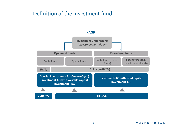### III. Definition of the investment fund

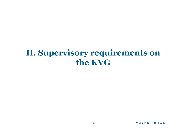# **II. Supervisory requirements on the KVG**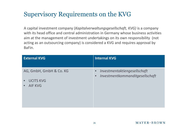## Supervisory Requirements on the KVG

A capital investment company (*Kapitalverwaltungsgesellschaft, KVG)* is a company with its head office and central administration in Germany whose business activities aim at the management of investment undertakings on its own responsibility (not acting as an outsourcing company) is considered a KVG and requires approval by BaFin.

| <b>External KVG</b><br><b>Internal KVG</b>                                         |                                                                 |
|------------------------------------------------------------------------------------|-----------------------------------------------------------------|
| AG, GmbH, GmbH & Co. KG<br>$\bullet$<br><b>UCITS KVG</b><br>$\bullet$<br>• AIF KVG | Investmentaktiengesellschaft<br>Investmentkommanditgesellschaft |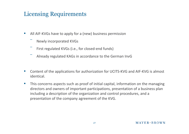### Licensing Requirements

- All AIF-KVGs have to apply for a (new) business permission
	- ‾ Newly incorporated KVGs
	- First regulated KVGs (i.e., for closed-end funds)
	- ‾ Already regulated KAGs in accordance to the German InvG
- Content of the applications for authorization for UCITS-KVG and AIF-KVG is almost identical.
- This concerns aspects such as proof of initial capital, information on the managing directors and owners of important participations, presentation of a business plan including a description of the organization and control procedures, and a presentation of the company agreement of the KVG.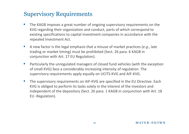- The KAGB imposes a great number of ongoing supervisory requirements on the KVG regarding their organization and conduct, parts of which correspond to existing specifications to capital investment companies in accordance with the repealed Investment Act.
- A new factor is the legal emphasis that a misuse of market practices (*e.g*., late trading or market timing) must be prohibited (Sect. 26 para. 6 KAGB in conjunction with Art. 17 EU Regulation).
- Particularly the unregulated managers of closed fund vehicles (with the exception of small KVG) face a considerably increasing intensity of regulation. The supervisory requirements apply equally on UCITS-KVG and AIF-KVG.
- The supervisory requirements on AIF-KVG are specified in the EU Directive. Each KVG is obliged to perform its tasks solely in the interest of the investors and independent of the depository (Sect. 26 para. 1 KAGB in conjunction with Art. 18 EU -Regulation).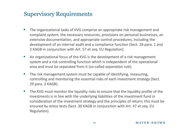- The organizational tasks of KVG comprise an appropriate risk management and complaint system, the necessary resources, provisions on personal businesses, an extensive documentation, and appropriate control procedures, including the development of an internal audit and a compliance function (Sect. 28 para. 1 and 2 KAGB in conjunction with Art. 57 et seq. EU Regulation).
- An organizational focus of the KVG is the development of a risk management system and a risk controlling function which is independent of the operational area and must be separated from it (so-called *separation rule*).
- The risk management system must be capable of identifying, measuring, controlling and monitoring the essential risks of each investment strategy (Sect. 29 para. 2 KAGB).
- The KVG must monitor the liquidity risks to ensure that the liquidity profile of the investments is in line with the underlying liabilities of the investment fund in consideration of the investment strategy and the principles of return; this must be ensured by stress tests (Sect. 30 KAGB in conjunction with Art. 47 et seq. EU Regulation).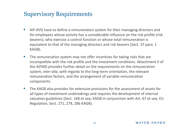- AIF-KVG have to define a remuneration system for their managing directors and for employees whose activity has a considerable influence on the risk profile (risk bearers), who exercise a control function or whose total remuneration is equivalent to that of the managing directors and risk bearers (Sect. 37 para. 1 KAGB).
- The remuneration system may not offer incentives for taking risks that are incompatible with the risk profile and the investment conditions. Attachment II of the AIFMD provides further detail on the requirements on the remuneration system, *inter alia*, with regards to the long-term orientation, the relevant remuneration factors, and the arrangement of variable remuneration components.
- The KAGB also provides for extensive provisions for the assessment of assets for all types of investment undertakings and requires the development of internal valuation guidelines (Sect. 168 et seq. KAGB in conjunction with Art. 67 et seq. EU Regulation, Sect. 271, 278, 286 KAGB).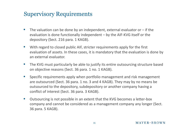- The valuation can be done by an independent, external evaluator or  $-$  if the evaluation is done functionally independent – by the AIF-KVG itself or the depository (Sect. 216 para. 1 KAGB).
- With regard to closed public AIF, stricter requirements apply for the first evaluation of assets. In these cases, it is mandatory that the evaluation is done by an external evaluator.
- The KVG must particularly be able to justify its entire outsourcing structure based on objective reasons (Sect. 36 para. 1 no. 1 KAGB).
- Specific requirements apply when portfolio management and risk management are outsourced (Sect. 36 para. 1 no. 3 and 4 KAGB). They may by no means be outsourced to the depository, subdepository or another company having a conflict of interest (Sect. 36 para. 3 KAGB).
- Outsourcing is not possible in an extent that the KVG becomes a letter-box company and cannot be considered as a management company any longer (Sect. 36 para. 5 KAGB).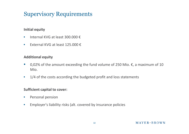### **Initial equity**

- Internal KVG at least 300.000 €
- External KVG at least 125.000 €

### **Additional equity**

- 0,02% of the amount exceeding the fund volume of 250 Mio.  $\epsilon$ , a maximum of 10 Mio.
- 1/4 of the costs according the budgeted profit and loss statements

### **Sufficient capital to cover:**

- Personal pension
- Employer's liability risks (alt. covered by insurance policies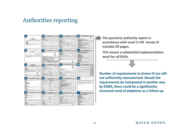## Authorities reporting



**The quarterly authority report in accordance with Level 2–VO Annex IV includes 20 pages.**

**This means a substantial implementation work for all KVGs**

**Number of requirements to Annex IV are still not sufficiently characterized. Should the requirements be interpreted in another way by ESMA, there could be a significantly increased need of adaptions as a follow-up.**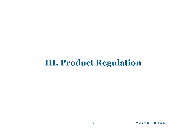## **III. Product Regulation**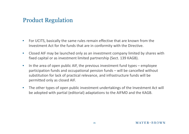### Product Regulation

- For UCITS, basically the same rules remain effective that are known from the Investment Act for the funds that are in conformity with the Directive.
- Closed AIF may be launched only as an investment company limited by shares with fixed capital or as investment limited partnership (Sect. 139 KAGB).
- In the area of open public AIF, the previous investment fund types employee participation funds and occupational pension funds – will be cancelled without substitution for lack of practical relevance, and infrastructure funds will be permitted only as closed AIF.
- The other types of open public investment undertakings of the Investment Act will be adopted with partial (editorial) adaptations to the AIFMD and the KAGB.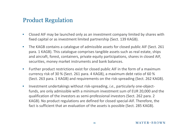### Product Regulation

- Closed AIF may be launched only as an investment company limited by shares with fixed capital or as investment limited partnership (Sect. 139 KAGB).
- The KAGB contains a catalogue of admissible assets for closed public AIF (Sect. 261) para. 1 KAGB). This catalogue comprises tangible assets such as real estate, ships and aircraft, forest, containers, private equity participations, shares in closed AIF, securities, money market instruments and bank balances.
- Further product restrictions exist for closed public AIF in the form of a maximum currency risk of 30 % (Sect. 261 para. 4 KAGB), a maximum debt ratio of 60 % (Sect. 263 para. 1 KAGB) and requirements on the risk-spreading (Sect. 262 KAGB).
- Investment undertakings without risk-spreading, *i.e.*, particularly one-objectfunds, are only admissible with a minimum investment sum of EUR 20,000 and the qualification of the investors as semi-professional investors (Sect. 262 para. 2 KAGB). No product regulations are defined for closed special-AIF. Therefore, the fact is sufficient that an evaluation of the assets is possible (Sect. 285 KAGB).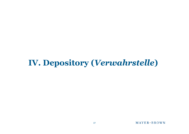# **IV. Depository (***Verwahrstelle***)**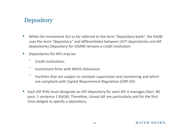#### **Depository**

- While the Investment Act so far referred to the term "depository bank", the KAGB uses the term "depository" and differentiates between UCIT depositories and AIF depositories Depositary for OGAW remains a credit institution.
- Depositaries for AIFs may be:
	- ‾ Credit institutions
	- ‾ Investment firms with MIFiD-Admission
	- Facilities that are subject to constant supervision and monitoring and which are compliant with Capital Requirement Regulation (*CRR-VO*)
- Each AIF-KVG must designate an AIF-depository for each AIF it manages (Sect. 80 para. 1 sentence 1 KAGB). Therefore, closed AIF are particularly and for the first time obliged to specify a depository.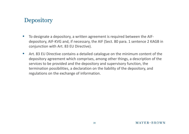#### **Depository**

- To designate a depository, a written agreement is required between the AIFdepository, AIF-KVG and, if necessary, the AIF (Sect. 80 para. 1 sentence 2 KAGB in conjunction with Art. 83 EU Directive).
- Art. 83 EU Directive contains a detailed catalogue on the minimum content of the depository agreement which comprises, among other things, a description of the services to be provided and the depository and supervisory function, the termination possibilities, a declaration on the liability of the depository, and regulations on the exchange of information.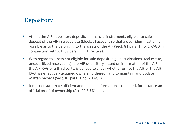#### **Depository**

- At first the AIF-depository deposits all financial instruments eligible for safe deposit of the AIF in a separate (blocked) account so that a clear identification is possible as to the belonging to the assets of the AIF (Sect. 81 para. 1 no. 1 KAGB in conjunction with Art. 89 para. 1 EU Directive).
- With regard to assets not eligible for safe deposit (*e.g.*, participations, real estate, unsecuritized receivables), the AIF-depository, based on information of the AIF or the AIF-KVG or a third party, is obliged to check whether or not the AIF or the AIF-KVG has effectively acquired ownership thereof, and to maintain and update written records (Sect. 81 para. 1 no. 2 KAGB).
- It must ensure that sufficient and reliable information is obtained, for instance an official proof of ownership (Art. 90 EU Directive).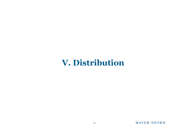# **V. Distribution**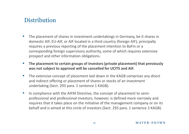- The placement of shares in investment undertakings in Germany, be it shares in domestic AIF, EU-AIF, or AIF located in a third country (foreign AIF), principally requires a previous reporting of the placement intention to BaFin or a corresponding foreign supervisory authority, some of which requires extensive prospect and other information obligations.
- **The placement to certain groups of investors (private placement) that previously was not subject to approval will be cancelled for UCITS and AIF.**
- The extensive concept of placement laid down in the KAGB comprises any direct and indirect offering or placement of shares or stocks of an investment undertaking (Sect. 293 para. 1 sentence 1 KAGB).
- In compliance with the AIFM Directive, the concept of placement to semiprofessional and professional investors, however, is defined more narrowly and requires that it takes place on the initiative of the management company or on its behalf and is aimed at this circle of investors (Sect. 293 para. 1 sentence 3 KAGB).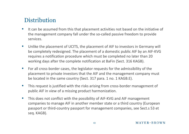- It can be assumed from this that placement activities not based on the initiative of the management company fall under the so-called passive freedom to provide services.
- Unlike the placement of UCITS, the placement of AIF to investors in Germany will be completely redesigned. The placement of a domestic public AIF by an AIF-KVG requires a notification procedure which must be completed no later than 20 working days after the complete notification at BaFin (Sect. 316 KAGB).
- For all cross-border cases, the legislator requests for the admissibility of the placement to private investors that the AIF and the management company must be located in the same country (Sect. 317 para. 1 no. 1 KAGB.E).
- This request is justified with the risks arising from cross-border management of public AIF in view of a missing product harmonization.
- This does not conflict with the possibility of AIF-KVG and AIF management companies to manage AIF in another member state or a third country (European passport or third-country passport for management companies, see Sect.s 53 et seq. KAGB).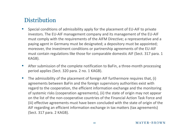- Special conditions of admissibility apply for the placement of EU-AIF to private investors. The EU-AIF management company and its management of the EU-AIF must comply with the requirements of the AIFM Directive; a representative and a paying agent in Germany must be designated; a depository must be appointed; moreover, the investment conditions or partnership agreements of the EU-AIF must contain regulations like those for comparable domestic AIF (Sect. 317 para. 1 KAGB).
- After submission of the complete notification to BaFin, a three-month processing period applies (Sect. 320 para. 2 no. 1 KAGB).
- The admissibility of the placement of foreign AIF furthermore requires that, (i) agreements between BaFin and the foreign supervisory authorities exist with regard to the cooperation, the efficient information exchange and the monitoring of systemic risks (cooperation agreements), (ii) the state of origin may not appear on the list of the non-cooperative countries of the Financial Action Task Force and (iii) effective agreements must have been concluded with the state of origin of the AIF regarding an efficient information exchange in tax matters (tax agreements) (Sect. 317 para. 2 KAGB).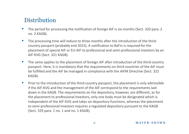- The period for processing the notification of foreign AIF is six months (Sect. 320 para. 2 no. 2 KAGB).
- The processing time will reduce to three months after the introduction of the thirdcountry passport (probably end 2015). A notification to BaFin is required for the placement of special AIF or EU-AIF to professional and semi-professional investors by an AIF-KVG (Sect. 321 KAGB).
- The same applies to the placement of foreign AIF after introduction of the third-country passport. Here, it is mandatory that the requirements on third countries of the AIF must be fulfilled and the AIF be managed in compliance with the AIFM Directive (Sect. 322 KAGB).
- Prior to the introduction of the third-country passport, the placement is only admissible if the AIF-KVG and the management of the AIF correspond to the requirements laid down in the KAGB. The requirements on the depository, however, are different, as for the placement to professional investors, only one body must be designated which is independent of the AIF-KVG and takes on depository functions, whereas the placement to semi-professional investors requires a regulated depository pursuant to the KAGB (Sect. 329 para. 1 no. 1 and no. 1 KAGB).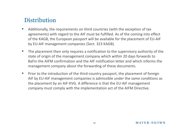- Additionally, the requirements on third countries (with the exception of tax agreements) with regard to the AIF must be fulfilled. As of the coming into effect of the KAGB, the European passport will be available for the placement of EU-AIF by EU-AIF management companies (Sect. 323 KAGB).
- The placement then only requires a notification to the supervisory authority of the state of origin of the management company which within 20 days forwards to BaFin the AIFM confirmation and the AIF notification letter and which informs the management company about the forwarding of these documents.
- Prior to the introduction of the third-country passport, the placement of foreign AIF by EU-AIF management companies is admissible under the same conditions as the placement by an AIF-KVG. A difference is that the EU-AIF management company must comply with the implementation act of the AIFM Directive.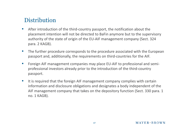- After introduction of the third-country passport, the notification about the placement intention will not be directed to BaFin anymore but to the supervisory authority of the state of origin of the EU-AIF management company (Sect. 324 para. 2 KAGB).
- The further procedure corresponds to the procedure associated with the European passport and, additionally, the requirements on third-countries for the AIF.
- Foreign AIF management companies may place EU-AIF to professional and semiprofessional investors already prior to the introduction of the third-country passport.
- It is required that the foreign AIF management company complies with certain information and disclosure obligations and designates a body independent of the AIF management company that takes on the depository function (Sect. 330 para. 1 no. 1 KAGB).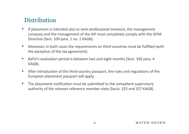- If placement is intended also to semi-professional investors, the management company and the management of the AIF must completely comply with the AIFM Directive (Sect. 330 para. 1 no. 2 KAGB).
- Moreover, in both cases the requirements on third countries must be fulfilled (with the exception of the tax agreement).
- BaFin's evaluation period is between two and eight months (Sect. 330 para. 4 KAGB).
- After introduction of the third-country passport, the rules and regulations of the European placement passport will apply.
- The placement notification must be submitted to the competent supervisory authority of the relevant reference member state (Sects. 325 and 327 KAGB).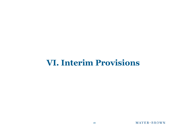# **VI. Interim Provisions**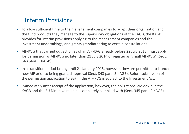- To allow sufficient time to the management companies to adapt their organization and the fund products they manage to the supervisory obligations of the KAGB, the KAGB provides for interim provisions applying to the management companies and the investment undertakings, and grants grandfathering to certain constellations.
- AIF-KVG that carried out activities of an AIF-KVG already before 22 July 2013, must apply for permission as AIF-KVG no later than 21 July 2014 or register as "small AIF-KVG" (Sect. 343 para. 1 KAGB).
- In a transition period lasting until 21 January 2015, however, they are permitted to launch new AIF prior to being granted approval (Sect. 343 para. 3 KAGB). Before submission of the permission application to BaFin, the AIF-KVG is subject to the Investment Act.
- Immediately after receipt of the application, however, the obligations laid down in the KAGB and the EU Directive must be completely complied with (Sect. 345 para. 2 KAGB).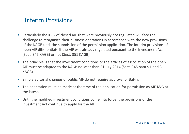- Particularly the KVG of closed AIF that were previously not regulated will face the challenge to reorganize their business operations in accordance with the new provisions of the KAGB until the submission of the permission application. The interim provisions of open AIF differentiate if the AIF was already regulated pursuant to the Investment Act (Sect. 345 KAGB) or not (Sect. 351 KAGB).
- The principle is that the investment conditions or the articles of association of the open AIF must be adapted to the KAGB no later than 21 July 2014 (Sect. 345 para.s 1 and 3 KAGB).
- Simple editorial changes of public AIF do not require approval of BaFin.
- The adaptation must be made at the time of the application for permission as AIF-KVG at the latest.
- Until the modified investment conditions come into force, the provisions of the Investment Act continue to apply for the AIF.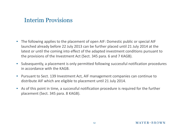- The following applies to the placement of open AIF: Domestic public or special AIF launched already before 22 July 2013 can be further placed until 21 July 2014 at the latest or until the coming into effect of the adapted investment conditions pursuant to the provisions of the Investment Act (Sect. 345 para. 6 and 7 KAGB).
- Subsequently, a placement is only permitted following successful notification procedures in accordance with the KAGB.
- Pursuant to Sect. 139 Investment Act, AIF management companies can continue to distribute AIF which are eligible to placement until 21 July 2014.
- As of this point in time, a successful notification procedure is required for the further placement (Sect. 345 para. 8 KAGB).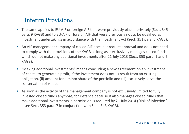- The same applies to EU-AIF or foreign AIF that were previously placed privately (Sect. 345 para. 9 KAGB) and to EU-AIF or foreign AIF that were previously not to be qualified as investment undertakings in accordance with the Investment Act (Sect. 351 para. 5 KAGB).
- An AIF management company of closed AIF does not require approval und does not need to comply with the provisions of the KAGB as long as it exclusively manages closed funds which do not make any additional investments after 21 July 2013 (Sect. 353 para. 1 and 2 KAGB).
- "Making additional investments" means concluding a new agreement on an investment of capital to generate a profit, if the investment does not (i) result from an existing obligation, (ii) account for a minor share of the portfolio and (iii) exclusively serve the conservation of value.
- As soon as the activity of the management company is not exclusively limited to fully invested closed funds anymore, for instance because it also manages closed funds that make additional investments, a permission is required by 21 July 2014 ("risk of infection" – see Sect. 353 para. 7 in conjunction with Sect. 343 KAGB).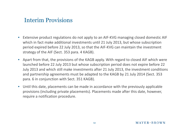- Extensive product regulations do not apply to an AIF-KVG managing closed domestic AIF which in fact make additional investments until 21 July 2013, but whose subscription period expired before 22 July 2013, so that the AIF-KVG can maintain the investment strategy of the AIF (Sect. 353 para. 4 KAGB).
- Apart from that, the provisions of the KAGB apply. With regard to closed AIF which were launched before 22 July 2013 but whose subscription period does not expire before 22 July 2013 and which still make investments after 21 July 2013, the investment conditions and partnership agreements must be adapted to the KAGB by 21 July 2014 (Sect. 353 para. 6 in conjunction with Sect. 351 KAGB).
- Until this date, placements can be made in accordance with the previously applicable provisions (including private placements). Placements made after this date, however, require a notification procedure.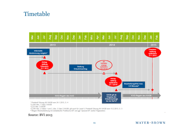#### Timetable



<sup>2</sup> § 343 Abs. 1 Satz 2 KAGB

<sup>3</sup> § 22 Abs. 2 KAGB

4 § 345 Abs. 2 Sätze 1 und 2, Abs. 3 Satz 2 KAGB; gilt auch für Level II, Protokoll Sitzung AK KAGB vom 15.2.2013, S. 3

<sup>5</sup> Wegen Wechselwirkung mit Zeitabläufen Publikums-AIF und ggf. Spezial-AIF (siehe Folgeseiten)

#### Source: BVI 2013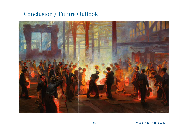### Conclusion / Future Outlook

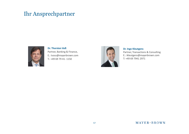#### Ihr Ansprechpartner



**Dr. Thorsten Voß** Partner, Banking & Finance, E.: tvoss@mayerbrown.com T.: +49 69 79 41- 1150



#### **Dr. Ingo Kleutgens**

Partner, Transactions & Consulting E.: ikleutgens@mayerbrown.com T: +49 69 7941 2971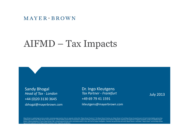#### $MAYER \cdot BROWN$

# AIFMD – Tax Impacts

Sandy Bhogal *Head of Tax - London* +44 (0)20 3130 3645 sbhogal@mayerbrown.com

Dr. Ingo Kleutgens *Tax Partner - Frankfurt* +49 69 79 41 1591 ikleutgens@mayerbrown.com

July 2013

Mayer Brown is a global legal services provider comprising legal practices that are separate entities (the "Mayer Brown Practices"). The Mayer Brown Practices are: Mayer Brown LLP and Mayer Brown Europe-Brussels LLP both l established in Illinois USA; Mayer Brown International LLP, a limited liability partnership incorporated in England and Wales (authorized and regulated by the Solicitors Regulation Authority and registered in England and W Brown, a SELAS established in France; Mayer Brown JSM, a Hong Kong partnership and its associated entities in Asia; and Tauil & Chequer Advogados, a Brazilian law partnership with which Mayer Brown is associated. "Mayer Br logo are the trademarks of the Mayer Brown Practices in their respective jurisdictions.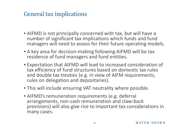#### General tax implications

- AIFMD is not principally concerned with tax, but will have a number of significant tax implications which funds and fund managers will need to assess for their future operating models.
- A key area for decision-making following AIFMD will be tax residence of fund managers and fund entities.
- Expectation that AIFMD will lead to increased consideration of tax efficiency of fund structures based on domestic tax rules and double tax treaties (e.g. in view of AIFM requirements, rules on delegation and depositaries).
- This will include ensuring VAT neutrality where possible.
- AIFMD's remuneration requirements (e.g. deferral arrangements, non-cash remuneration and claw-back provisions) will also give rise to important tax considerations in many cases.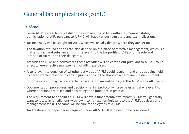## General tax implications (cont.)

#### Residence

- Given AIFMD's regulation of distribution/marketing of AIFs within EU member states, domiciliation of AIFs pursuant to AIFMD will have various regulatory and tax implications.
- Tax neutrality will be sought for AIFs, which will usually dictate where they are set up.
- The taxation of fund entities can also depend on the place of effective management, which is a matter of fact and substance. This is relevant to the tax profile of AIFs and the role and location of AIFMs and their delegates.
- Activities of AIFM and how/where those activities will be carried out pursuant to AIFMD could affect where effective management of AIF is exercised.
- Also relevant to question of whether activities of AIFM could result in fund entities being held to have taxable presence in certain jurisdictions in the shape of a permanent establishment.
- In some cases, it may be preferable to have self-managed funds (i.e. the AIFM is the AIF itself).
- Documentation procedures and decision-making protocol will also be essential relevant to where decisions are taken and how delegation functions in practice.
- The requirement to appoint an AIFM will have a fundamental tax impact: AIFMs will generally want to locate in jurisdictions with low income taxation (relevant to the AIFM's advisory and management fees). The same will be true for delegates of AIFMs.
- Tax treatment of depositaries required under AIFMD will also need to be considered.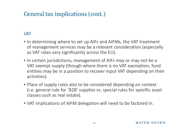### General tax implications (cont.)

#### VAT

- In determining where to set up AIFs and AIFMs, the VAT treatment of management services may be a relevant consideration (especially as VAT rates vary significantly across the EU).
- In certain jurisdictions, management of AIFs may or may not be a VAT exempt supply (though where there is no VAT exemption, fund entities may be in a position to recover input VAT depending on their activities).
- Place of supply rules also to be considered depending on context (i.e. general rule for 'B2B' supplies vs. special rules for specific asset classes such as real estate).
- VAT implications of AIFM delegation will need to be factored in.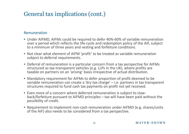### General tax implications (cont.)

#### Remuneration

- Under AIFMD, AIFMs could be required to defer 40%-60% of variable remuneration over a period which reflects the life-cycle and redemption policy of the AIF, subject to a minimum of three years and vesting and forfeiture conditions.
- Not clear what element of AIFM 'profit' to be treated as variable remuneration subject to deferral requirements.
- Deferral of remuneration is a particular concern from a tax perspective for AIFMs structured as tax-transparent vehicles (e.g. LLPs in the UK), where profits are taxable on partners on an 'arising' basis irrespective of actual distribution.
- Mandatory requirement for AIFMs to defer proportion of profit deemed to be variable remuneration can create a 'dry tax charge' – i.e. partners in tax transparent structures required to fund cash tax payments on profit not yet received.
- Even more of a concern where deferred remuneration is subject to clawback/forfeiture pursuant to AIFMD principles – tax will have been paid without the possibility of credit.
- Requirement to implement non-cash remuneration under AIFMD (e.g. shares/units of the AIF) also needs to be considered from a tax perspective.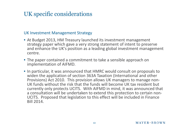## UK specific considerations

#### UK Investment Management Strategy

- At Budget 2013, HM Treasury launched its investment management strategy paper which gave a very strong statement of intent to preserve and enhance the UK's position as a leading global investment management centre.
- The paper contained a commitment to take a sensible approach on implementation of AIFMD.
- In particular, it was announced that HMRC would consult on proposals to widen the application of section 363A Taxation (International and other Provisions) Act 2010. This provision allows UK managers to manage non-UK funds without the risk that the funds will become UK tax resident but currently only protects UCITS. With AIFMD in mind, it was announced that a consultation will be undertaken to extend this protection to certain non-UCITS. Proposed that legislation to this effect will be included in Finance Bill 2014.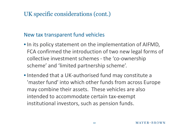## UK specific considerations (cont.)

#### New tax transparent fund vehicles

- In its policy statement on the implementation of AIFMD, FCA confirmed the introduction of two new legal forms of collective investment schemes - the 'co-ownership scheme' and 'limited partnership scheme'.
- Intended that a UK-authorised fund may constitute a 'master fund' into which other funds from across Europe may combine their assets. These vehicles are also intended to accommodate certain tax-exempt institutional investors, such as pension funds.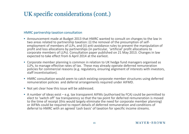## UK specific considerations (cont.)

#### HMRC partnership taxation consultation

- Announcement made at Budget 2013 that HMRC wanted to consult on changes to the law in two areas related to partnership taxation: (i) the removal of the presumption of selfemployment of members of LLPs, and (ii) anti-avoidance rules to prevent the manipulation of profit and loss allocations by partnerships (in particular, 'artificial' profit allocations to corporate members of LLPs). Consultation paper published on 21 May 2013. Changes in law expected to take effect from 6 April 2014 at the earliest.
- Corporate member planning is common in relation to UK hedge fund managers organised as LLPs, to manage effective rates of tax. These may already operate deferred remuneration policies for commercial reasons (e.g. regulatory, ensuring alignment of interests with investors, staff incentivisation).
- HMRC consultation would seem to catch existing corporate member structures using deferred remuneration policies and deferral arrangements required under AIFMD.
- Not yet clear how this issue will be addressed.
- A number of ideas exist e.g. tax transparent AIFMs (authorised by FCA) could be permitted to elect to 'switch off' tax transparency so that the tax point for deferred remuneration is moved to the time of receipt (this would largely eliminate the need for corporate member planning) or AIFMs could be required to report details of deferred remuneration and conditions of deferral to HMRC with an agreed 'cash basis' of taxation for specific income streams.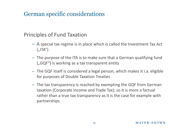#### Principles of Fund Taxation

- A special tax regime is in place which is called the Investment Tax Act  $($ "ITA" $)$
- The purpose of the ITA is to make sure that a German qualifying fund  $($ "GQF") is working as a tax transparent entity
- The GQF itself is considered a legal person, which makes it i.a. eligible for purposes of Double Taxation Treaties
- The tax transparency is reached by exempting the GQF from German taxation (Corporate Income and Trade Tax); so it is more a factual rather than a true tax transparency as it is the case for example with partnerships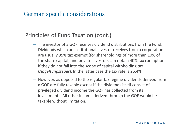#### Principles of Fund Taxation (cont.)

- The investor of a GQF receives dividend distributions from the Fund. Dividends which an institutional investor receives from a corporation are usually 95% tax exempt (for shareholdings of more than 10% of the share capital) and private investors can obtain 40% tax exemption if they do not fall into the scope of capital withholding tax (*Abgeltungsteuer*). In the latter case the tax rate is 26.4%.
- However, as opposed to the regular tax regime dividends derived from a GQF are fully taxable except if the dividends itself consist of privileged dividend income the GQF has collected from its investments. All other income derived through the GQF would be taxable without limitation.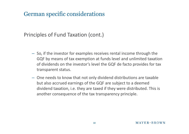#### Principles of Fund Taxation (cont.)

- So, if the investor for examples receives rental income through the GQF by means of tax exemption at funds level and unlimited taxation of dividends on the investor's level the GQF de facto provides for tax transparent status.
- One needs to know that not only dividend distributions are taxable but also accrued earnings of the GQF are subject to a deemed dividend taxation, i.e. they are taxed if they were distributed. This is another consequence of the tax transparency principle.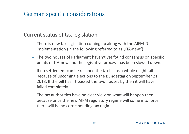#### Current status of tax legislation

- There is new tax legislation coming up along with the AIFM-D implementation (in the following referred to as "ITA-new").
- The two houses of Parliament haven't yet found consensus on specific points of ITA-new and the legislative process has been slowed down.
- If no settlement can be reached the tax bill as a whole might fail because of upcoming elections to the Bundestag on September 21, 2013. If the bill hasn`t passed the two houses by then it will have failed completely.
- The tax authorities have no clear view on what will happen then because once the new AIFM regulatory regime will come into force, there will be no corresponding tax regime.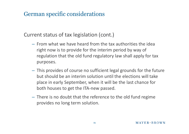Current status of tax legislation (cont.)

- From what we have heard from the tax authorities the idea right now is to provide for the interim period by way of regulation that the old fund regulatory law shall apply for tax purposes.
- This provides of course no sufficient legal grounds for the future but should be an interim solution until the elections will take place in early September, when it will be the last chance for both houses to get the ITA-new passed.
- There is no doubt that the reference to the old fund regime provides no long term solution.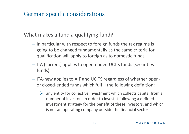What makes a fund a qualifying fund?

- In particular with respect to foreign funds the tax regime is going to be changed fundamentally as the same criteria for qualification will apply to foreign as to domestic funds.
- ITA (current) applies to open-ended UCITs funds (securities funds)
- ITA-new applies to AIF and UCITS regardless of whether openor closed-ended funds which fulfill the following definition:
	- $\triangleright$  any entity for collective investment which collects capital from a number of investors in order to invest it following a defined investment strategy for the benefit of these investors, and which is not an operating company outside the financial sector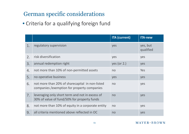• Criteria for a qualifying foreign fund

|                  |                                                                                                 | <b>ITA (current)</b> | <b>ITA-new</b>        |
|------------------|-------------------------------------------------------------------------------------------------|----------------------|-----------------------|
| 1.               | regulatory supervision                                                                          | yes                  | yes, but<br>qualified |
| 2.               | risk diversification                                                                            | yes                  | yes                   |
| 3.               | annual redemption right                                                                         | yes (or $2.$ )       | yes                   |
| $\overline{4}$ . | not more than 10% of non-permitted assets                                                       | no                   | <b>Yes</b>            |
| 5.               | no operative business                                                                           | yes                  | yes                   |
| 6.               | not more than 20% of sharecapital in non-listed<br>companies / exemption for property companies | no                   | yes                   |
| 7.               | leveraging only short term and not in excess of<br>30% of value of fund/50% for property funds  | no                   | yes                   |
| 8.               | not more than 10% of equity in a corporate entity                                               | no                   | yes                   |
| 9.               | all criteria mentioned above reflected in OC                                                    | no                   | yes                   |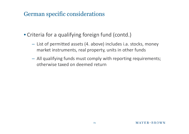- Criteria for a qualifying foreign fund (contd.)
	- List of permitted assets (4. above) includes i.a. stocks, money market instruments, real property, units in other funds
	- All qualifying funds must comply with reporting requirements; otherwise taxed on deemed return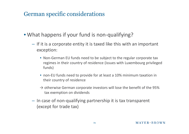- What happens if your fund is non-qualifying?
	- If it is a corporate entity it is taxed like this with an important exception:
		- Non-German EU funds need to be subject to the regular corporate tax regimes in their country of residence (issues with Luxembourg privileged funds)
		- non-EU funds need to provide for at least a 10% minimum taxation in their country of residence
		- $\rightarrow$  otherwise German corporate investors will lose the benefit of the 95% tax exemption on dividends
	- In case of non-qualifying partnership it is tax transparent (except for trade tax)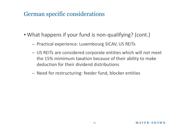- What happens if your fund is non-qualifying? (cont.)
	- Practical experience: Luxembourg SICAV, US REITs
	- US REITs are considered corporate entities which will not meet the 15% mimimum taxation because of their ability to make deduction for their dividend distributions
	- Need for restructuring: feeder fund, blocker entities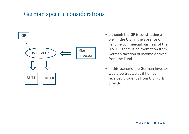

- although the GP is constituting a p.e. in the U.S. in the absence of genuine commercial business of the U.S. L.P. there is no exemption from German taxation of income derived from the Fund
- In this scenario the German Investor would be treated as if he had received dividends from U.S. REITs directly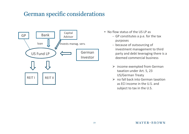

- No flow status of the US LP as
	- GP constitutes a p.e. for the tax purposes
	- because of outsourcing of investment management to third party and debt leveraging there is a deemed commercial business
	- $\triangleright$  income exempted from German taxation under Art. 5, 23 US/German Treaty
	- $\triangleright$  no fall back into German taxation as ECI income in the U.S. and subject to tax in the U.S.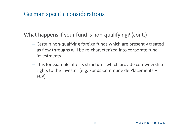What happens if your fund is non-qualifying? (cont.)

- Certain non-qualfying foreign funds which are presently treated as flow throughs will be re-characterized into corporate fund investments
- This for example affects structures which provide co-ownership rights to the investor (e.g. Fonds Commune de Placements – FCP)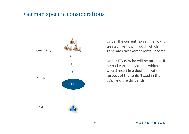

Under the current tax regime FCP is treated like flow through which generates tax exempt rental income

Under ITA-new he will be taxed as if he had earned dividends which would result in a double taxation in respect of the rents (taxed in the U.S.) and the dividends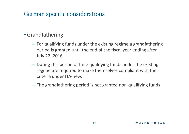#### • Grandfathering

- For qualifying funds under the existing regime a grandfathering period is granted until the end of the fiscal year ending after July 22, 2016.
- During this period of time qualifying funds under the existing regime are required to make themselves compliant with the criteria under ITA-new.
- The grandfathering period is not granted non-qualifying funds